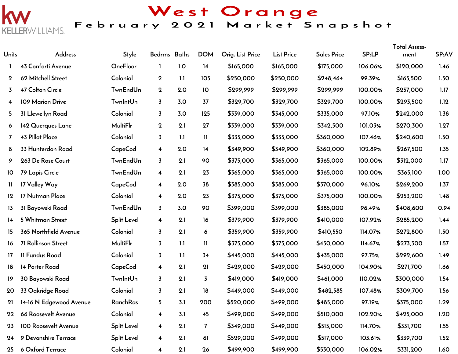

West Orange<br>February 2021 Market Snapshot

| Units            | Address                    | Style              | Bedrms Baths            |     | <b>DOM</b>     | Orig. List Price | <b>List Price</b> | <b>Sales Price</b> | SP:LP   | <b>Total Assess-</b><br>ment | SP:AV |
|------------------|----------------------------|--------------------|-------------------------|-----|----------------|------------------|-------------------|--------------------|---------|------------------------------|-------|
|                  | 43 Conforti Avenue         | OneFloor           |                         | 1.0 | 14             | \$165,000        | \$165,000         | \$175,000          | 106.06% | \$120,000                    | 1.46  |
| $\mathbf 2$      | 62 Mitchell Street         | Colonial           | $\bf{2}$                | 1.1 | 105            | \$250,000        | \$250,000         | \$248,464          | 99.39%  | \$165,500                    | 1.50  |
| 3                | 47 Colton Circle           | <b>TwnEndUn</b>    | $\boldsymbol{2}$        | 2.0 | 10             | \$299,999        | \$299,999         | \$299,999          | 100.00% | \$257,000                    | 1.17  |
| 4                | 109 Marion Drive           | <b>TwnIntUn</b>    | $\overline{3}$          | 3.0 | 37             | \$329,700        | \$329,700         | \$329,700          | 100.00% | \$293,500                    | 1.12  |
| 5                | 31 Llewellyn Road          | Colonial           | $\overline{3}$          | 3.0 | 125            | \$339,000        | \$345,000         | \$335,000          | 97.10%  | \$242,000                    | 1.38  |
| 6                | 142 Querques Lane          | <b>MultiFlr</b>    | $\bf{2}$                | 2.1 | 27             | \$339,000        | \$339,000         | \$342,500          | 101.03% | \$270,300                    | 1.27  |
| 7                | 43 Pillot Place            | Colonial           | $\overline{3}$          | 1.1 | Ш              | \$335,000        | \$335,000         | \$360,000          | 107.46% | \$240,600                    | 1.50  |
| 8                | 33 Hunterdon Road          | <b>CapeCod</b>     | $\overline{\mathbf{4}}$ | 2.0 | 14             | \$349,900        | \$349,900         | \$360,000          | 102.89% | \$267,500                    | 1.35  |
| 9                | 263 De Rose Court          | <b>TwnEndUn</b>    | $\overline{3}$          | 2.1 | 90             | \$375,000        | \$365,000         | \$365,000          | 100.00% | \$312,000                    | 1.17  |
| 10               | 79 Lapis Circle            | <b>TwnEndUn</b>    | $\overline{\mathbf{4}}$ | 2.1 | 23             | \$365,000        | \$365,000         | \$365,000          | 100.00% | \$365,100                    | 1.00  |
| 11               | 17 Valley Way              | <b>CapeCod</b>     | $\overline{\mathbf{4}}$ | 2.0 | 38             | \$385,000        | \$385,000         | \$370,000          | 96.10%  | \$269,200                    | 1.37  |
| 12               | 17 Nutman Place            | Colonial           | $\overline{\mathbf{4}}$ | 2.0 | 23             | \$375,000        | \$375,000         | \$375,000          | 100.00% | \$253,200                    | 1.48  |
| 13               | 31 Bayowski Road           | <b>TwnEndUn</b>    | $\overline{3}$          | 3.0 | 90             | \$399,000        | \$399,000         | \$385,000          | 96.49%  | \$408,600                    | 0.94  |
| 14               | 5 Whitman Street           | <b>Split Level</b> | 4                       | 2.1 | 16             | \$379,900        | \$379,900         | \$410,000          | 107.92% | \$285,200                    | 1.44  |
| 15 <sub>15</sub> | 365 Northfield Avenue      | Colonial           | $\overline{3}$          | 2.1 | 6              | \$359,900        | \$359,900         | \$410,550          | 114.07% | \$272,800                    | 1.50  |
| 16               | 71 Rollinson Street        | <b>MultiFlr</b>    | $\overline{3}$          | 1.1 | $\mathbf{11}$  | \$375,000        | \$375,000         | \$430,000          | 114.67% | \$273,300                    | 1.57  |
| 17               | 11 Fundus Road             | Colonial           | $\overline{3}$          | 1.1 | 34             | \$445,000        | \$445,000         | \$435,000          | 97.75%  | \$292,600                    | 1.49  |
| 18               | 14 Porter Road             | <b>CapeCod</b>     | $\overline{\mathbf{4}}$ | 2.1 | 21             | \$429,000        | \$429,000         | \$450,000          | 104.90% | \$271,700                    | 1.66  |
| 19               | 30 Bayowski Road           | <b>TwnIntUn</b>    | $\overline{3}$          | 2.1 | $\overline{3}$ | \$419,000        | \$419,000         | \$461,000          | 110.02% | \$300,000                    | 1.54  |
| 20               | 33 Oakridge Road           | Colonial           | $\overline{3}$          | 2.1 | 18             | \$449,000        | \$449,000         | \$482,585          | 107.48% | \$309,700                    | 1.56  |
|                  | 21 14-16 N Edgewood Avenue | RanchRas           | 5 <sub>1</sub>          | 3.1 | 200            | \$520,000        | \$499,000         | \$485,000          | 97.19%  | \$375,000                    | 1.29  |
| 22               | 66 Roosevelt Avenue        | Colonial           | 4                       | 3.1 | 45             | \$499,000        | \$499,000         | \$510,000          | 102.20% | \$425,000                    | 1.20  |
| 23               | 100 Roosevelt Avenue       | <b>Split Level</b> | $\overline{\mathbf{4}}$ | 2.1 | $\overline{7}$ | \$349,000        | \$449,000         | \$515,000          | 114.70% | \$331,700                    | 1.55  |
| 24               | 9 Devonshire Terrace       | <b>Split Level</b> | $\overline{\mathbf{4}}$ | 2.1 | 61             | \$529,000        | \$499,000         | \$517,000          | 103.61% | \$339,700                    | 1.52  |
| 25               | 6 Oxford Terrace           | Colonial           | $\overline{\mathbf{4}}$ | 2.1 | 26             | \$499,900        | \$499,900         | \$530,000          | 106.02% | \$331,200                    | 1.60  |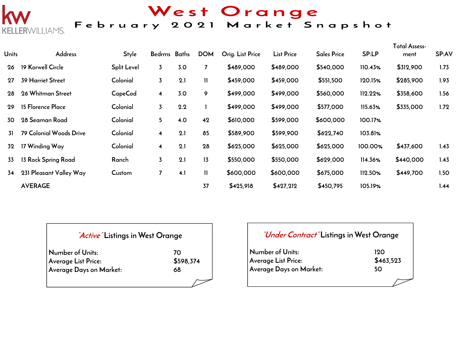

West Orange<br>February 2021 Market Snapshot

| <b>Units</b> | Address                  | <b>Style</b>       | Bedrms Baths   |     | <b>DOM</b>     | Orig. List Price | <b>List Price</b> | <b>Sales Price</b> | SP:LP   | Total Assess-<br>ment | SP:AV |
|--------------|--------------------------|--------------------|----------------|-----|----------------|------------------|-------------------|--------------------|---------|-----------------------|-------|
| 26           | 19 Korwell Circle        | <b>Split Level</b> | $\overline{3}$ | 3.0 | $\overline{7}$ | \$489,000        | \$489,000         | \$540,000          | 110.43% | \$312,900             | 1.73  |
| 27           | <b>39 Harriet Street</b> | Colonial           | 3              | 2.1 | $\mathbf{H}$   | \$459,000        | \$459,000         | \$551,500          | 120.15% | \$285,900             | 1.93  |
| 28           | 26 Whitman Street        | CapeCod            | 4              | 3.0 | 9              | \$499,000        | \$499,000         | \$560,000          | 112.22% | \$358,600             | 1.56  |
| 29           | 15 Florence Place        | Colonial           | $\overline{3}$ | 2.2 |                | \$499,000        | \$499,000         | \$577,000          | 115.63% | \$335,000             | 1.72  |
| 30           | 28 Seaman Road           | Colonial           | 5.             | 4.0 | 42             | \$610,000        | \$599,000         | \$600,000          | 100.17% |                       |       |
| 31           | 79 Colonial Woods Drive  | Colonial           | 4              | 2.1 | 85             | \$589,900        | \$599,900         | \$622,740          | 103.81% |                       |       |
| 32           | 17 Winding Way           | Colonial           | 4              | 2.1 | 28             | \$625,000        | \$625,000         | \$625,000          | 100.00% | \$437,600             | 1.43  |
| 33           | 13 Rock Spring Road      | Ranch              | 3              | 2.1 | 13             | \$550,000        | \$550,000         | \$629,000          | 114.36% | \$440,000             | 1.43  |
| 34           | 231 Pleasant Valley Way  | Custom             | 7              | 4.1 | $\mathbf{H}$   | \$600,000        | \$600,000         | \$675,000          | 112.50% | \$449,700             | 1.50  |
|              | <b>AVERAGE</b>           |                    |                |     | 37             | \$425,918        | \$427,212         | \$450,795          | 105.19% |                       | 1.44  |

| <i>Active</i> Listings in West Orange   |                 |  |  |  |  |  |  |  |
|-----------------------------------------|-----------------|--|--|--|--|--|--|--|
| Number of Units:<br>Average List Price: | 70<br>\$598,374 |  |  |  |  |  |  |  |
| Average Days on Market:                 | 68              |  |  |  |  |  |  |  |
|                                         |                 |  |  |  |  |  |  |  |

| <i>"Under Contract"</i> Listings in West Orange |           |
|-------------------------------------------------|-----------|
| Number of Units:                                | 190       |
| Average List Price:                             | \$463,523 |
| Average Days on Market:                         | 50        |